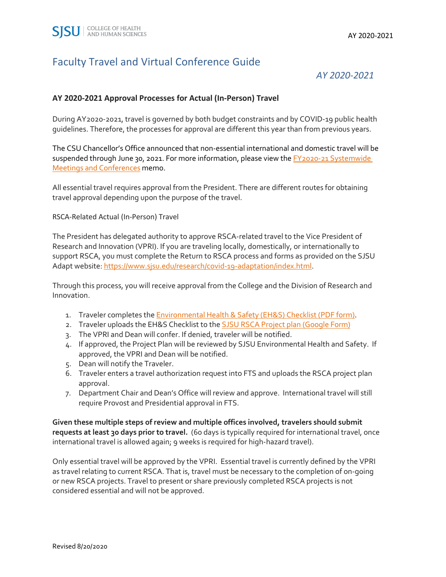### Faculty Travel and Virtual Conference Guide

*AY 2020-2021*

#### **AY 2020-2021 Approval Processes for Actual (In-Person) Travel**

During AY2020-2021, travel is governed by both budget constraints and by COVID-19 public health guidelines. Therefore, the processes for approval are different this year than from previous years.

The CSU Chancellor's Office announced that non-essential international and domestic travel will be suspended through June 30, 2021. For more information, please view the FY2020-21 Systemwide [Meetings and Conferences](https://csyou.calstate.edu/Employee-Resources/coronavirus/Documents/SR-Presidents-FY2020-21-Meetings-06-25-20.pdf#search=FY2020%2D21%20Systemwide%20Meetings%20and%20Conferences) memo.

All essential travel requires approval from the President. There are different routes for obtaining travel approval depending upon the purpose of the travel.

RSCA-Related Actual (In-Person) Travel

The President has delegated authority to approve RSCA-related travel to the Vice President of Research and Innovation (VPRI). If you are traveling locally, domestically, or internationally to support RSCA, you must complete the Return to RSCA process and forms as provided on the SJSU Adapt website[: https://www.sjsu.edu/research/covid-19-adaptation/index.html.](https://www.sjsu.edu/research/covid-19-adaptation/index.html)

Through this process, you will receive approval from the College and the Division of Research and Innovation.

- 1. Traveler completes th[e Environmental Health & Safety \(EH&S\) Checklist \(PDF form\).](https://www.sjsu.edu/research/docs/RSCA%20Activity%20Risk%20Assessment%20for%20COVID%206-22-20.pdf)
- 2. Traveler uploads the EH&S Checklist to the **SJSU RSCA Project plan (Google Form)**
- 3. The VPRI and Dean will confer. If denied, traveler will be notified.
- 4. If approved, the Project Plan will be reviewed by SJSU Environmental Health and Safety. If approved, the VPRI and Dean will be notified.
- 5. Dean will notify the Traveler.
- 6. Traveler enters a travel authorization request into FTS and uploads the RSCA project plan approval.
- 7. Department Chair and Dean's Office will review and approve. International travel will still require Provost and Presidential approval in FTS.

**Given these multiple steps of review and multiple offices involved, travelers should submit requests at least 30 days prior to travel.** (60 days is typically required for international travel, once international travel is allowed again; 9 weeks is required for high-hazard travel).

Only essential travel will be approved by the VPRI. Essential travel is currently defined by the VPRI as travel relating to current RSCA. That is, travel must be necessary to the completion of on-going or new RSCA projects. Travel to present or share previously completed RSCA projects is not considered essential and will not be approved.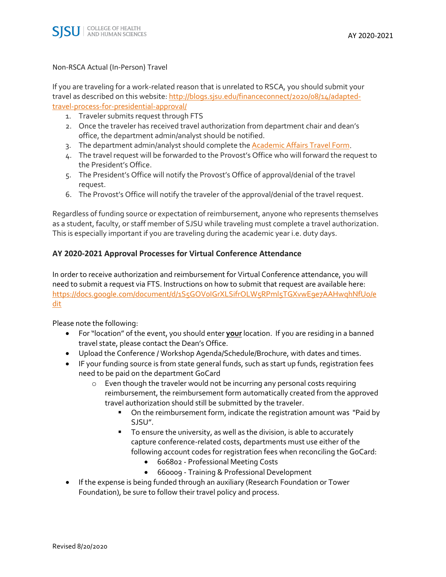#### Non-RSCA Actual (In-Person) Travel

If you are traveling for a work-related reason that is unrelated to RSCA, you should submit your travel as described on this website: [http://blogs.sjsu.edu/financeconnect/2020/08/14/adapted](http://blogs.sjsu.edu/financeconnect/2020/08/14/adapted-travel-process-for-presidential-approval/)[travel-process-for-presidential-approval/](http://blogs.sjsu.edu/financeconnect/2020/08/14/adapted-travel-process-for-presidential-approval/)

- 1. Traveler submits request through FTS
- 2. Once the traveler has received travel authorization from department chair and dean's office, the department admin/analyst should be notified.
- 3. The department admin/analyst should complete the **Academic Affairs Travel Form.**
- 4. The travel request will be forwarded to the Provost's Office who will forward the request to the President's Office.
- 5. The President's Office will notify the Provost's Office of approval/denial of the travel request.
- 6. The Provost's Office will notify the traveler of the approval/denial of the travel request.

Regardless of funding source or expectation of reimbursement, anyone who represents themselves as a student, faculty, or staff member of SJSU while traveling must complete a travel authorization. This is especially important if you are traveling during the academic year i.e. duty days.

#### **AY 2020-2021 Approval Processes for Virtual Conference Attendance**

In order to receive authorization and reimbursement for Virtual Conference attendance, you will need to submit a request via FTS. Instructions on how to submit that request are available here: https://docs.google.com/document/d/1S5GOVoIGrXLSifrOLW5RPml5TGXvwE9e7AAHwqhNfUo/e [dit](https://docs.google.com/document/d/1S5GOV0IGrXLSifrOLW5RPml5TGXvwE9e7AAHwqhNfUo/edit)

Please note the following:

- For "location" of the event, you should enter **your** location. If you are residing in a banned travel state, please contact the Dean's Office.
- Upload the Conference / Workshop Agenda/Schedule/Brochure, with dates and times.
- IF your funding source is from state general funds, such as start up funds, registration fees need to be paid on the department GoCard
	- o Even though the traveler would not be incurring any personal costs requiring reimbursement, the reimbursement form automatically created from the approved travel authorization should still be submitted by the traveler.
		- **•** On the reimbursement form, indicate the registration amount was "Paid by SJSU".
		- To ensure the university, as well as the division, is able to accurately capture conference-related costs, departments must use either of the following account codes for registration fees when reconciling the GoCard:
			- 606802 Professional Meeting Costs
			- 660009 Training & Professional Development
- If the expense is being funded through an auxiliary (Research Foundation or Tower Foundation), be sure to follow their travel policy and process.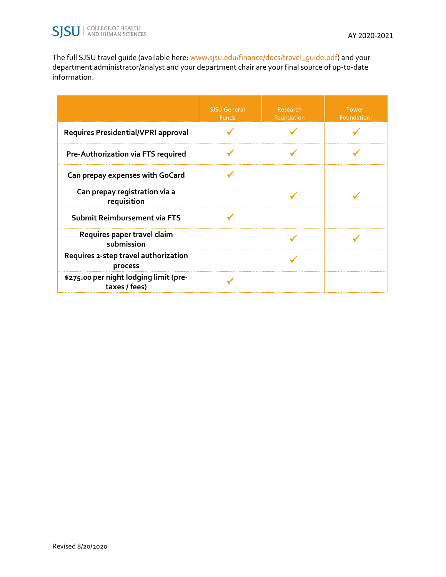The full SJSU travel guide (available here: [www.sjsu.edu/finance/docs/travel\\_guide.pdf\)](http://www.sjsu.edu/finance/docs/travel_guide.pdf) and your department administrator/analyst and your department chair are your final source of up-to-date information.

|                                                         | <b>SJSU General</b><br><b>Funds</b> | Research<br>Foundation | <b>Tower</b><br>Foundation |
|---------------------------------------------------------|-------------------------------------|------------------------|----------------------------|
| <b>Requires Presidential/VPRI approval</b>              |                                     |                        |                            |
| Pre-Authorization via FTS required                      |                                     |                        |                            |
| Can prepay expenses with GoCard                         |                                     |                        |                            |
| Can prepay registration via a<br>requisition            |                                     |                        |                            |
| Submit Reimbursement via FTS                            |                                     |                        |                            |
| Requires paper travel claim<br>submission               |                                     |                        |                            |
| Requires 2-step travel authorization<br>process         |                                     |                        |                            |
| \$275.00 per night lodging limit (pre-<br>taxes / fees) |                                     |                        |                            |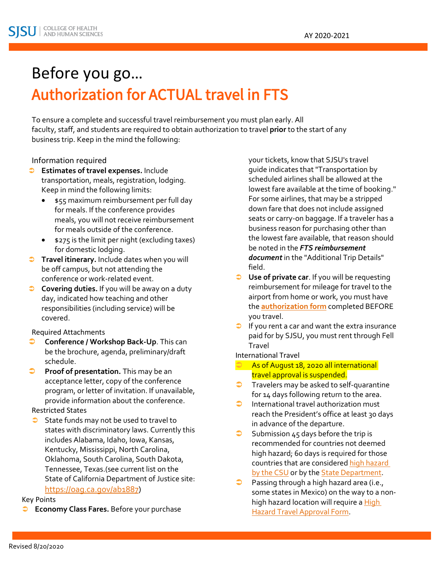# Before you go… Authorization for ACTUAL travel in FTS

To ensure a complete and successful travel reimbursement you must plan early. All faculty, staff, and students are required to obtain authorization to travel **prior** to the start of any business trip. Keep in the mind the following:

#### Information required

- **Estimates of travel expenses.** Include transportation, meals, registration, lodging. Keep in mind the following limits:
	- \$55 maximum reimbursement per full day for meals. If the conference provides meals, you will not receive reimbursement for meals outside of the conference.
	- \$275 is the limit per night (excluding taxes) for domestic lodging.
- **Travel itinerary.** Include dates when you will be off campus, but not attending the conference or work-related event.
- **Covering duties.** If you will be away on a duty day, indicated how teaching and other responsibilities (including service) will be covered.

#### Required Attachments

- **Conference / Workshop Back-Up**. This can be the brochure, agenda, preliminary/draft schedule.
- **Proof of presentation.** This may be an acceptance letter, copy of the conference program, or letter of invitation. If unavailable, provide information about the conference.

#### Restricted States

State funds may not be used to travel to states with discriminatory laws. Currently this includes Alabama, Idaho, Iowa, Kansas, Kentucky, Mississippi, North Carolina, Oklahoma, South Carolina, South Dakota, Tennessee, Texas.(see current list on the State of California Department of Justice site: [https://oag.ca.gov/ab1887\)](https://oag.ca.gov/ab1887)

#### Key Points

**Economy Class Fares.** Before your purchase

your tickets, know that SJSU's travel guide indicates that "Transportation by scheduled airlines shall be allowed at the lowest fare available at the time of booking." For some airlines, that may be a stripped down fare that does not include assigned seats or carry-on baggage. If a traveler has a business reason for purchasing other than the lowest fare available, that reason should be noted in the *FTS reimbursement document* in the "Additional Trip Details" field.

- **Use of private car**. If you will be requesting reimbursement for mileage for travel to the airport from home or work, you must have the **[authorization form](http://www.documents.dgs.ca.gov/dgs/fmc/pdf/std261.pdf)** completed BEFORE you travel.
- $\Box$  If you rent a car and want the extra insurance paid for by SJSU, you must rent through Fell Travel

#### International Travel

- As of August 18, 2020 all international travel approval is suspended.
- Travelers may be asked to self-quarantine for 14 days following return to the area.
- $\bullet$  International travel authorization must reach the President's office at least 30 days in advance of the departure.
- $\supset$  Submission 45 days before the trip is recommended for countries not deemed high hazard; 60 days is required for those countries that are considered [high hazard](http://www.sjsu.edu/finance/docs/CSURMA_HighHazardList_2018-19.pdf)  [by the CSU](http://www.sjsu.edu/finance/docs/CSURMA_HighHazardList_2018-19.pdf) or by the **State Department**.
- **Passing through a high hazard area (i.e.,** some states in Mexico) on the way to a nonhigh hazard location will require a High [Hazard Travel Approval Form.](https://csyou.calstate.edu/Tools/high-hazard-travel/Pages/default.aspx)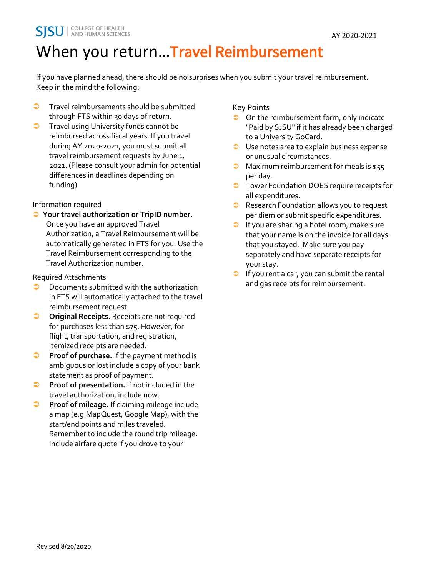# When you return... Travel Reimbursement

If you have planned ahead, there should be no surprises when you submit your travel reimbursement. Keep in the mind the following:

- $\bullet$  Travel reimbursements should be submitted through FTS within 30 days of return.
- **Travel using University funds cannot be** reimbursed across fiscal years. If you travel during AY 2020-2021, you must submit all travel reimbursement requests by June 1, 2021. (Please consult your admin for potential differences in deadlines depending on funding)

### Information required

 **Your travel authorization or TripID number.** Once you have an approved Travel Authorization, a Travel Reimbursement will be automatically generated in FTS for you. Use the Travel Reimbursement corresponding to the Travel Authorization number.

Required Attachments

- **D** Documents submitted with the authorization in FTS will automatically attached to the travel reimbursement request.
- **Original Receipts.** Receipts are not required for purchases less than \$75. However, for flight, transportation, and registration, itemized receipts are needed.
- **Proof of purchase.** If the payment method is ambiguous or lost include a copy of your bank statement as proof of payment.
- **Proof of presentation.** If not included in the travel authorization, include now.
- **Proof of mileage.** If claiming mileage include a map (e.g.MapQuest, Google Map), with the start/end points and miles traveled. Remember to include the round trip mileage. Include airfare quote if you drove to your

### Key Points

- $\supset$  On the reimbursement form, only indicate "Paid by SJSU" if it has already been charged to a University GoCard.
- **■** Use notes area to explain business expense or unusual circumstances.
- $\bullet$  Maximum reimbursement for meals is \$55 per day.
- **T** Tower Foundation DOES require receipts for all expenditures.
- Research Foundation allows you to request per diem or submit specific expenditures.
- If you are sharing a hotel room, make sure that your name is on the invoice for all days that you stayed. Make sure you pay separately and have separate receipts for your stay.
- $\Box$  If you rent a car, you can submit the rental and gas receipts for reimbursement.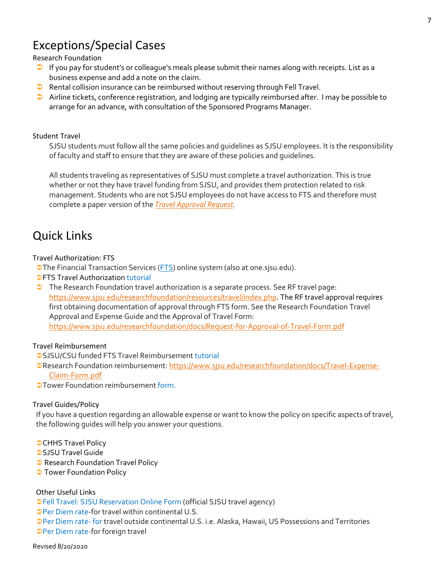## Exceptions/Special Cases

#### Research Foundation

- If you pay for student's or colleague's meals please submit their names along with receipts. List as a business expense and add a note on the claim.
- Rental collision insurance can be reimbursed without reserving through Fell Travel.
- $\bullet$  Airline tickets, conference registration, and lodging are typically reimbursed after. I may be possible to arrange for an advance, with consultation of the Sponsored Programs Manager.

#### Student Travel

SJSU students must follow all the same policies and guidelines as SJSU employees. It is the responsibility of faculty and staff to ensure that they are aware of these policies and guidelines.

All students traveling as representatives of SJSU must complete a travel authorization. This is true whether or not they have travel funding from SJSU, and provides them protection related to risk management. Students who are not SJSU employees do not have access to FTS and therefore must complete a paper version of the *[Travel Approval Request.](http://www.sjsu.edu/finance/docs/travel_approval.pdf)* 

### Quick Links

#### Travel Authorization: FTS

**The Financial Transaction Services [\(FTS\)](http://one.sjsu.edu/) online system (also at one.sjsu.edu).** 

- *OFTS Travel Authorization [tutorial](http://www.sjsu.edu/finance/docs/tut_fts_travel_authorization.pdf)*
- **The Research Foundation travel authorization is a separate process. See RF travel page:** [https://www.sjsu.edu/researchfoundation/resources/travel/index.php.](https://www.sjsu.edu/researchfoundation/resources/travel/index.php) The RF travel approval requires first obtaining documentation of approval through FTS form. See the Research Foundation Travel Approval and Expense Guide and the Approval of Travel Form: <https://www.sjsu.edu/researchfoundation/docs/Request-for-Approval-of-Travel-Form.pdf>

#### Travel Reimbursement

**SJSU/CSU funded FTS Travel Reimbursemen[t tutorial](http://www.sjsu.edu/finance/docs/tut_fts_travel_reimbursement.pdf)** 

PResearch Foundation reimbursement[: https://www.sjsu.edu/researchfoundation/docs/Travel-Expense-](https://www.sjsu.edu/researchfoundation/docs/Travel-Expense-Claim-Form.pdf)[Claim-Form.pdf](https://www.sjsu.edu/researchfoundation/docs/Travel-Expense-Claim-Form.pdf)

**OTower Foundation reimbursemen[t form.](http://www.sjsu.edu/towerfoundation/docs/travel-expense-claim-fillable.pdf)** 

#### Travel Guides/Policy

If you have a question regarding an allowable expense or want to know the policy on specific aspects of travel, the following guides will help you answer your questions.

- **CHHS Travel Policy**
- **[SJSU Travel Guide](http://www.sjsu.edu/finance/docs/travel_guide.pdf)**
- **Research Foundation Travel Policy**
- **J** [Tower Foundation Policy](http://www.sjsu.edu/towerfoundation/docs/travel-policy.pdf)

#### Other Useful Links

[Fell Travel: SJSU Reservation Online Form \(](http://www.felltravel.com/forms/sjs)official SJSU travel agency)

[Per Diem rate-](http://www.gsa.gov/portal/content/104877?utm_source=OGP&utm_medium=print-radio&utm_term=perdiem&utm_campaign=shortcuts)for travel within continental U.S.

[Per Diem rate-](http://www.defensetravel.dod.mil/site/perdiemCalc.cfm) for travel outside continental U.S. i.e. Alaska, Hawaii, US Possessions and Territories [Per Diem rate-f](https://aoprals.state.gov/web920/per_diem.asp)or foreign travel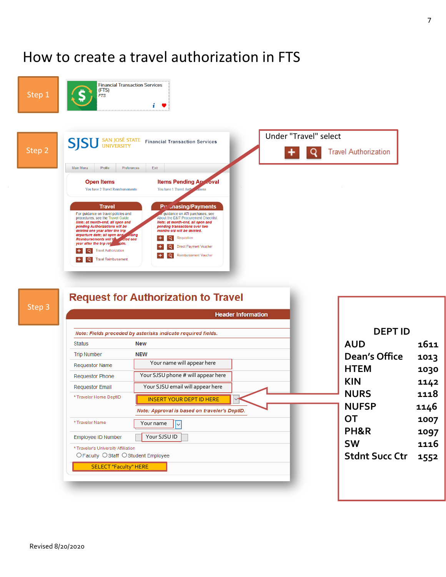## How to create a travel authorization in FTS





|                                      | <b>Header Information</b>                                    |                       |
|--------------------------------------|--------------------------------------------------------------|-----------------------|
|                                      | Note: Fields preceded by asterisks indicate required fields. | <b>DEPT ID</b>        |
| <b>Status</b>                        | <b>New</b>                                                   | <b>AUD</b>            |
| <b>Trip Number</b>                   | <b>NEW</b>                                                   | Dean's Office         |
| <b>Requestor Name</b>                | Your name will appear here                                   | <b>HTEM</b>           |
| <b>Requestor Phone</b>               | Your SJSU phone # will appear here                           |                       |
| <b>Requestor Email</b>               | Your SJSU email will appear here                             | <b>KIN</b>            |
| * Traveler Home DeptID               | <b>INSERT YOUR DEPT ID HERE</b>                              | <b>NURS</b>           |
|                                      | Note: Approval is based on traveler's DeptID.                | <b>NUFSP</b>          |
| * Traveler Name                      | Your name                                                    | <b>OT</b>             |
| Employee ID Number                   | Your SJSU ID                                                 | PH&R                  |
| * Traveler's University Affiliation  |                                                              | <b>SW</b>             |
| ○ Faculty ○ Staff ○ Student Employee |                                                              | <b>Stdnt Succ Ctr</b> |
| <b>SELECT "Faculty" HERE</b>         |                                                              |                       |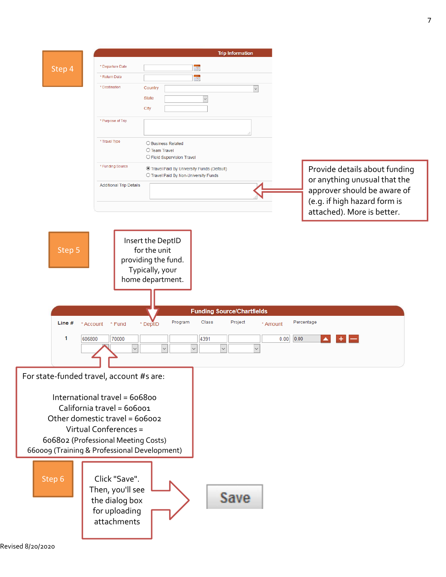

Revised 8/20/2020